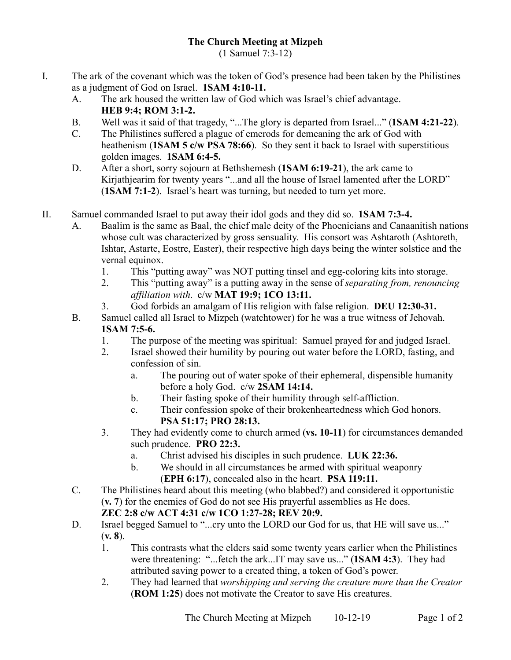(1 Samuel 7:3-12)

- I. The ark of the covenant which was the token of God's presence had been taken by the Philistines as a judgment of God on Israel. **1SAM 4:10-11.**
	- A. The ark housed the written law of God which was Israel's chief advantage. **HEB 9:4; ROM 3:1-2.**
	- B. Well was it said of that tragedy, "...The glory is departed from Israel..." (**1SAM 4:21-22**).
	- C. The Philistines suffered a plague of emerods for demeaning the ark of God with heathenism (**1SAM 5 c/w PSA 78:66**). So they sent it back to Israel with superstitious golden images. **1SAM 6:4-5.**
	- D. After a short, sorry sojourn at Bethshemesh (**1SAM 6:19-21**), the ark came to Kirjathjearim for twenty years "...and all the house of Israel lamented after the LORD" (**1SAM 7:1-2**). Israel's heart was turning, but needed to turn yet more.
- II. Samuel commanded Israel to put away their idol gods and they did so. **1SAM 7:3-4.**
	- A. Baalim is the same as Baal, the chief male deity of the Phoenicians and Canaanitish nations whose cult was characterized by gross sensuality. His consort was Ashtaroth (Ashtoreth, Ishtar, Astarte, Eostre, Easter), their respective high days being the winter solstice and the vernal equinox.
		- 1. This "putting away" was NOT putting tinsel and egg-coloring kits into storage.
		- 2. This "putting away" is a putting away in the sense of *separating from, renouncing affiliation with*. c/w **MAT 19:9; 1CO 13:11.**
		- 3. God forbids an amalgam of His religion with false religion. **DEU 12:30-31.**
	- B. Samuel called all Israel to Mizpeh (watchtower) for he was a true witness of Jehovah. **1SAM 7:5-6.**
		- 1. The purpose of the meeting was spiritual: Samuel prayed for and judged Israel.
		- 2. Israel showed their humility by pouring out water before the LORD, fasting, and confession of sin.
			- a. The pouring out of water spoke of their ephemeral, dispensible humanity before a holy God. c/w **2SAM 14:14.**
			- b. Their fasting spoke of their humility through self-affliction.
			- c. Their confession spoke of their brokenheartedness which God honors. **PSA 51:17; PRO 28:13.**
		- 3. They had evidently come to church armed (**vs. 10-11**) for circumstances demanded such prudence. **PRO 22:3.**
			- a. Christ advised his disciples in such prudence. **LUK 22:36.**
			- b. We should in all circumstances be armed with spiritual weaponry (**EPH 6:17**), concealed also in the heart. **PSA 119:11.**
	- C. The Philistines heard about this meeting (who blabbed?) and considered it opportunistic (**v. 7**) for the enemies of God do not see His prayerful assemblies as He does. **ZEC 2:8 c/w ACT 4:31 c/w 1CO 1:27-28; REV 20:9.**
	- D. Israel begged Samuel to "...cry unto the LORD our God for us, that HE will save us..." (**v. 8**).
		- 1. This contrasts what the elders said some twenty years earlier when the Philistines were threatening: "...fetch the ark...IT may save us..." (**1SAM 4:3**). They had attributed saving power to a created thing, a token of God's power.
		- 2. They had learned that *worshipping and serving the creature more than the Creator* (**ROM 1:25**) does not motivate the Creator to save His creatures.